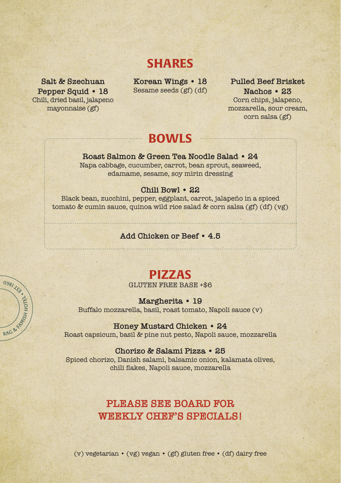# **SHARES**

**Salt & Szechuan Pepper Squid • 18** Chili, dried basil, jalapeno mayonnaise (gf)

RAG & KRAFINGH HOTEL

**Korean Wings • 18** Sesame seeds (gf) (df)

**Pulled Beef Brisket Nachos • 23** Corn chips, jalapeno, mozzarella, sour cream, corn salsa (gf)

# **BOWLS**

### **Roast Salmon & Green Tea Noodle Salad • 24**

Napa cabbage, cucumber, carrot, bean sprout, seaweed, edamame, sesame, soy mirin dressing

## **Chili Bowl • 22**

Black bean, zucchini, pepper, eggplant, carrot, jalapeño in a spiced tomato & cumin sauce, quinoa wild rice salad & corn salsa (gf) (df) (vg)

#### **Add Chicken or Beef • 4.5**

# **PIZZAS**

GLUTEN FREE BASE +\$6

#### **Margherita • 19**

Buffalo mozzarella, basil, roast tomato, Napoli sauce (v)

#### **Honey Mustard Chicken • 24**

Roast capsicum, basil & pine nut pesto, Napoli sauce, mozzarella

#### **Chorizo & Salami Pizza • 25**

Spiced chorizo, Danish salami, balsamic onion, kalamata olives, chili flakes, Napoli sauce, mozzarella

## **PLEASE SEE BOARD FOR** WEEKLY CHEF'S SPECIALS!

(v) vegetarian • (vg) vegan • (gf) gluten free • (df) dairy free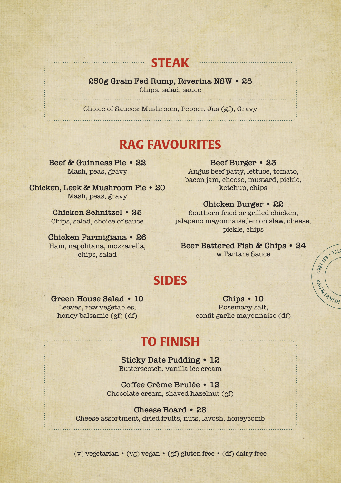# **STEAK**

**250g Grain Fed Rump, Riverina NSW • 28** Chips, salad, sauce

Choice of Sauces: Mushroom, Pepper, Jus (gf), Gravy

# **RAG FAVOURITES**

**Beef & Guinness Pie • 22** Mash, peas, gravy

**Chicken, Leek & Mushroom Pie • 20** Mash, peas, gravy

> **Chicken Schnitzel • 25** Chips, salad, choice of sauce

**Chicken Parmigiana • 26** Ham, napolitana, mozzarella, chips, salad

#### **Beef Burger • 23**

Angus beef patty, lettuce, tomato, bacon jam, cheese, mustard, pickle, ketchup, chips

## **Chicken Burger • 22**

Southern fried or grilled chicken, jalapeno mayonnaise,lemon slaw, cheese, pickle, chips

**Beer Battered Fish & Chips • 24** w Tartare Sauce

**0000 - 1310** 

**PROPRIMISH** 

# **SIDES**

## **Green House Salad • 10** Leaves, raw vegetables, honey balsamic (gf) (df)

**Chips • 10** Rosemary salt, confit garlic mayonnaise (df)

# **TO FINISH**

**Sticky Date Pudding • 12** Butterscotch, vanilla ice cream

**Coffee Crème Brulée • 12** Chocolate cream, shaved hazelnut (gf)

**Cheese Board • 28**

Cheese assortment, dried fruits, nuts, lavosh, honeycomb

(v) vegetarian • (vg) vegan • (gf) gluten free • (df) dairy free